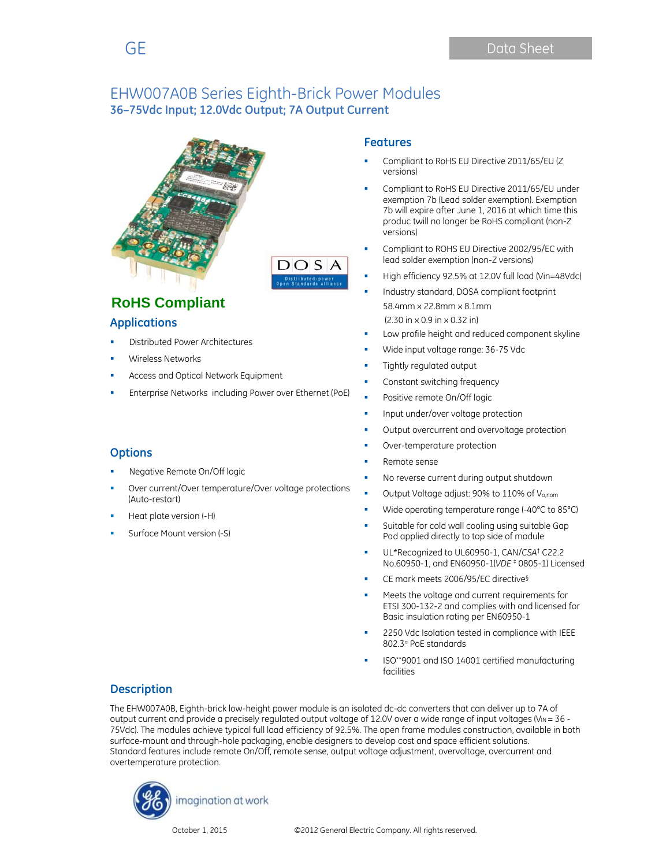



**RoHS Compliant** 

### **Applications**

- Distributed Power Architectures
- Wireless Networks
- Access and Optical Network Equipment
- Enterprise Networks including Power over Ethernet (PoE)

### **Options**

- Negative Remote On/Off logic
- Over current/Over temperature/Over voltage protections (Auto-restart)
- Heat plate version (-H)
- Surface Mount version (-S)

#### **Features**

- Compliant to RoHS EU Directive 2011/65/EU (Z versions)
- Compliant to RoHS EU Directive 2011/65/EU under exemption 7b (Lead solder exemption). Exemption 7b will expire after June 1, 2016 at which time this produc twill no longer be RoHS compliant (non-Z versions)
- Compliant to ROHS EU Directive 2002/95/EC with lead solder exemption (non-Z versions)
- High efficiency 92.5% at 12.0V full load (Vin=48Vdc)
- Industry standard, DOSA compliant footprint 58.4mm x 22.8mm x 8.1mm (2.30 in x 0.9 in x 0.32 in)
- Low profile height and reduced component skyline
- Wide input voltage range: 36-75 Vdc
- Tightly regulated output
- Constant switching frequency
- Positive remote On/Off logic
- Input under/over voltage protection
- Output overcurrent and overvoltage protection
- Over-temperature protection
- Remote sense
- No reverse current during output shutdown
- Output Voltage adjust: 90% to 110% of Vo,nom
- Wide operating temperature range (-40°C to 85°C)
- Suitable for cold wall cooling using suitable Gap Pad applied directly to top side of module
- UL\*Recognized to UL60950-1, CAN/*CSA*† C22.2 No.60950-1, and EN60950-1(*VDE* ‡ 0805-1) Licensed
- CE mark meets 2006/95/EC directive§
- Meets the voltage and current requirements for ETSI 300-132-2 and complies with and licensed for Basic insulation rating per EN60950-1
- 2250 Vdc Isolation tested in compliance with IEEE 802.3¤ PoE standards
- ISO\*\*9001 and ISO 14001 certified manufacturing facilities

### **Description**

The EHW007A0B, Eighth-brick low-height power module is an isolated dc-dc converters that can deliver up to 7A of output current and provide a precisely regulated output voltage of 12.0V over a wide range of input voltages (V<sub>IN</sub> = 36 -75Vdc). The modules achieve typical full load efficiency of 92.5%. The open frame modules construction, available in both surface-mount and through-hole packaging, enable designers to develop cost and space efficient solutions. Standard features include remote On/Off, remote sense, output voltage adjustment, overvoltage, overcurrent and overtemperature protection.

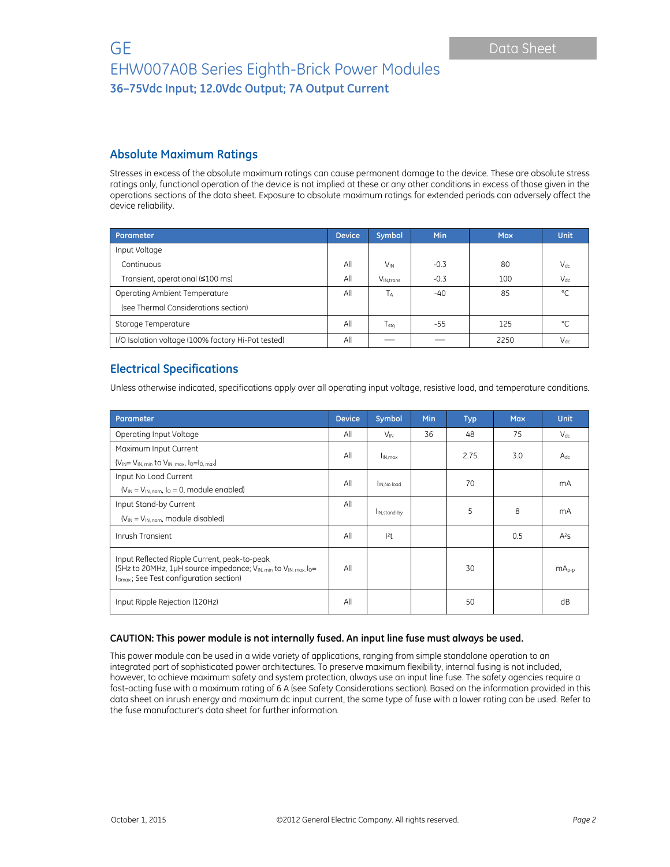### **Absolute Maximum Ratings**

Stresses in excess of the absolute maximum ratings can cause permanent damage to the device. These are absolute stress ratings only, functional operation of the device is not implied at these or any other conditions in excess of those given in the operations sections of the data sheet. Exposure to absolute maximum ratings for extended periods can adversely affect the device reliability.

| Parameter                                          | <b>Device</b> | Symbol                | Min    | <b>Max</b> | <b>Unit</b> |
|----------------------------------------------------|---------------|-----------------------|--------|------------|-------------|
| Input Voltage                                      |               |                       |        |            |             |
| Continuous                                         |               | <b>V<sub>IN</sub></b> | $-0.3$ | 80         | $V_{dc}$    |
| Transient, operational (≤100 ms)                   |               | V <sub>IN.trans</sub> | $-0.3$ | 100        | $V_{dc}$    |
| Operating Ambient Temperature                      |               | TA                    | $-40$  | 85         | °C          |
| (see Thermal Considerations section)               |               |                       |        |            |             |
| Storage Temperature                                |               | $T_{\sf stq}$         | -55    | 125        | °C          |
| I/O Isolation voltage (100% factory Hi-Pot tested) | All           |                       |        | 2250       | $V_{dc}$    |

## **Electrical Specifications**

Unless otherwise indicated, specifications apply over all operating input voltage, resistive load, and temperature conditions.

| Parameter                                                                                                                                                             |     | Symbol                   | <b>Min</b> | <b>Typ</b> | <b>Max</b> | <b>Unit</b> |
|-----------------------------------------------------------------------------------------------------------------------------------------------------------------------|-----|--------------------------|------------|------------|------------|-------------|
| Operating Input Voltage                                                                                                                                               | All | $V_{\text{IN}}$          | 36         | 48         | 75         | $V_{dc}$    |
| Maximum Input Current                                                                                                                                                 | All | I <sub>IN.max</sub>      |            | 2.75       | 3.0        | $A_{dc}$    |
| $(V_{IN} = V_{IN. min}$ to $V_{IN. max.}$ $I_0 = I_{O. max}$                                                                                                          |     |                          |            |            |            |             |
| Input No Load Current                                                                                                                                                 | All | IN.No load               |            | 70         |            | mA          |
| $(V_{IN} = V_{IN. nom. 10} = 0$ , module enabled)                                                                                                                     |     |                          |            |            |            |             |
| Input Stand-by Current                                                                                                                                                |     | I <sub>IN,stand-by</sub> |            | 5          | 8          | mA          |
| $(V_{IN} = V_{IN \ nom}$ , module disabled)                                                                                                                           |     |                          |            |            |            |             |
| Inrush Transient                                                                                                                                                      |     | 2t                       |            |            | 0.5        | $A^2S$      |
| Input Reflected Ripple Current, peak-to-peak<br>(5Hz to 20MHz, 1µH source impedance; VIN, min to VIN, max, lo=<br>I <sub>Omax</sub> ; See Test configuration section) |     |                          |            | 30         |            | $mA_{p-p}$  |
| Input Ripple Rejection (120Hz)                                                                                                                                        |     |                          |            | 50         |            | dB          |

#### **CAUTION: This power module is not internally fused. An input line fuse must always be used.**

This power module can be used in a wide variety of applications, ranging from simple standalone operation to an integrated part of sophisticated power architectures. To preserve maximum flexibility, internal fusing is not included, however, to achieve maximum safety and system protection, always use an input line fuse. The safety agencies require a fast-acting fuse with a maximum rating of 6 A (see Safety Considerations section). Based on the information provided in this data sheet on inrush energy and maximum dc input current, the same type of fuse with a lower rating can be used. Refer to the fuse manufacturer's data sheet for further information.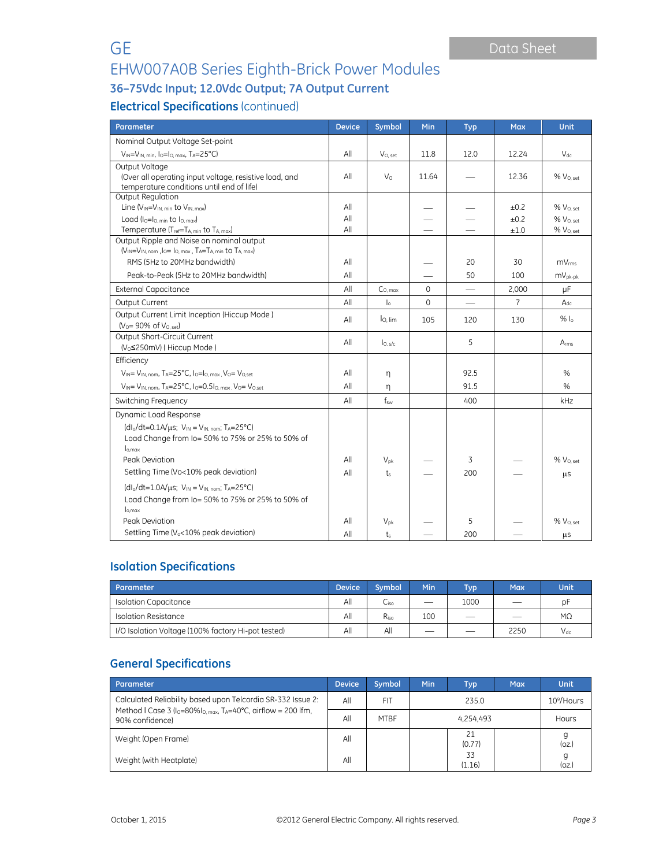# EHW007A0B Series Eighth-Brick Power Modules

# **36–75Vdc Input; 12.0Vdc Output; 7A Output Current**

# **Electrical Specifications** (continued)

| Parameter                                                                                                                                                                                                                                 | <b>Device</b>     | Symbol                     | Min         | <b>Typ</b>               | <b>Max</b>           | <b>Unit</b>                                                            |
|-------------------------------------------------------------------------------------------------------------------------------------------------------------------------------------------------------------------------------------------|-------------------|----------------------------|-------------|--------------------------|----------------------|------------------------------------------------------------------------|
| Nominal Output Voltage Set-point                                                                                                                                                                                                          |                   |                            |             |                          |                      |                                                                        |
| VIN=VIN, min, Io=Io, max, TA=25°C)                                                                                                                                                                                                        | All               | $V_{O, set}$               | 11.8        | 12.0                     | 12.24                | $V_{dc}$                                                               |
| Output Voltage<br>(Over all operating input voltage, resistive load, and<br>temperature conditions until end of life)                                                                                                                     | All               | V <sub>o</sub>             | 11.64       |                          | 12.36                | % V <sub>O, set</sub>                                                  |
| Output Regulation<br>Line $(V_{IN} = V_{IN. min}$ to $V_{IN. max}$ )<br>Load ( $I_0 = I_0$ , min to $I_0$ , max)<br>Temperature (T <sub>ref</sub> =T <sub>A min</sub> to T <sub>A max</sub> )                                             | All<br>All<br>All |                            |             |                          | ±0.2<br>±0.2<br>±1.0 | % V <sub>O. set</sub><br>% V <sub>0 set</sub><br>% V <sub>O. set</sub> |
| Output Ripple and Noise on nominal output<br>(V <sub>IN</sub> =V <sub>IN, nom</sub> , lo= lo, max, T <sub>A</sub> =T <sub>A</sub> , min to T <sub>A, max</sub> )<br>RMS (5Hz to 20MHz bandwidth)<br>Peak-to-Peak (5Hz to 20MHz bandwidth) |                   |                            |             | 20<br>50                 | 30<br>100            | $mv_{rms}$<br>$mV_{pk-pk}$                                             |
| <b>External Capacitance</b>                                                                                                                                                                                                               | All               | $C_{0, \text{max}}$        | $\mathbf 0$ | $\overline{\phantom{0}}$ | 2,000                | μF                                                                     |
| Output Current                                                                                                                                                                                                                            |                   | $\mathsf{I}_\circ$         | $\Omega$    |                          | $\overline{7}$       | $A_{dc}$                                                               |
| Output Current Limit Inception (Hiccup Mode)<br>$(V_0 = 90\% \text{ of } V_{0. \text{ set}})$                                                                                                                                             |                   | lo. lim                    | 105         | 120                      | 130                  | $%$ $\alpha$                                                           |
| Output Short-Circuit Current<br>(V <sub>o</sub> ≤250mV) (Hiccup Mode)                                                                                                                                                                     |                   | $I_{O, S/c}$               |             | 5                        |                      | Arms                                                                   |
| Efficiency                                                                                                                                                                                                                                |                   |                            |             |                          |                      |                                                                        |
| $V_{IN} = V_{IN}$ nom, $Ta = 25^{\circ}C$ , $lo = Io$ max $V_{O} = V_{O}$ set                                                                                                                                                             | All               | η                          |             | 92.5                     |                      | %                                                                      |
| VIN= VIN, nom, TA=25°C, Io=0.5Io, max, Vo= Vo,set                                                                                                                                                                                         | All               | η                          |             | 91.5                     |                      | %                                                                      |
| Switching Frequency                                                                                                                                                                                                                       | All               | $f_{sw}$                   |             | 400                      |                      | kHz                                                                    |
| Dynamic Load Response<br>$(d _0/dt=0.1A/\mu s; V_{IN}=V_{IN, nom}; T_A=25°C)$<br>Load Change from Io= 50% to 75% or 25% to 50% of<br>$I_{0,max}$<br>Peak Deviation<br>Settling Time (Vo<10% peak deviation)                               |                   | $V_{\text{D}k}$<br>$t_{s}$ |             | 3<br>200                 |                      | % V <sub>O, set</sub><br>μS                                            |
| $(dI_0/dt=1.0A/\mu s; V_{IN} = V_{IN, nom}; T_A=25°C)$<br>Load Change from Io= 50% to 75% or 25% to 50% of<br>$I_{0,\text{max}}$<br>Peak Deviation<br>Settling Time (V <sub>o</sub> <10% peak deviation)                                  |                   | $V_{\text{D}k}$<br>$t_{s}$ |             | 5<br>200                 |                      | % V <sub>O, set</sub><br>μS                                            |

## **Isolation Specifications**

| <b>Parameter</b>                                   | <b>Device</b> | Symbol | <b>Min</b> | Typ <sup>1</sup>         | Max <sup>1</sup> | Unit      |
|----------------------------------------------------|---------------|--------|------------|--------------------------|------------------|-----------|
| Isolation Capacitance                              | All           | Liso   |            | 1000                     |                  | рF        |
| Isolation Resistance                               | All           | Riso   | 100        | $\overline{\phantom{a}}$ |                  | $M\Omega$ |
| I/O Isolation Voltage (100% factory Hi-pot tested) |               | All    | __         | $\overline{\phantom{a}}$ | 2250             | $V_{dc}$  |

# **General Specifications**

| Parameter                                                                                                                                     |  | Symbol      | <b>Min</b> | Typ          | <b>Max</b> | <b>Unit</b>            |
|-----------------------------------------------------------------------------------------------------------------------------------------------|--|-------------|------------|--------------|------------|------------------------|
| Calculated Reliability based upon Telcordia SR-332 Issue 2:<br>Method I Case 3 (Io=80%Io, max, TA=40°C, airflow = 200 lfm.<br>90% confidence) |  | FI1         | 235.0      |              |            | 10 <sup>9</sup> /Hours |
|                                                                                                                                               |  | <b>MTBF</b> | 4.254.493  |              |            | Hours                  |
| Weight (Open Frame)                                                                                                                           |  |             |            | 21<br>(0.77) |            | (oz)                   |
| Weight (with Heatplate)                                                                                                                       |  |             |            | 33<br>(1.16) |            | g<br>(oz.)             |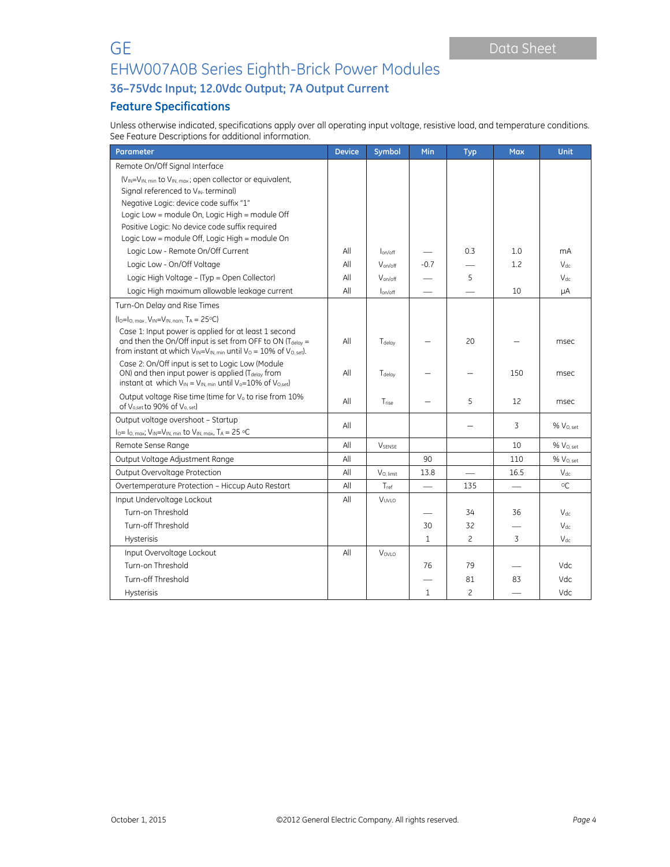# GE Data Sheet EHW007A0B Series Eighth-Brick Power Modules

**36–75Vdc Input; 12.0Vdc Output; 7A Output Current**

## **Feature Specifications**

Unless otherwise indicated, specifications apply over all operating input voltage, resistive load, and temperature conditions. See Feature Descriptions for additional information.

| Parameter                                                                                                                                                                                                   | <b>Device</b> | Symbol                | Min                      | <b>Typ</b>     | <b>Max</b>     | <b>Unit</b>           |
|-------------------------------------------------------------------------------------------------------------------------------------------------------------------------------------------------------------|---------------|-----------------------|--------------------------|----------------|----------------|-----------------------|
| Remote On/Off Signal Interface                                                                                                                                                                              |               |                       |                          |                |                |                       |
| (V <sub>IN</sub> =V <sub>IN, min</sub> to V <sub>IN, max</sub> ; open collector or equivalent,                                                                                                              |               |                       |                          |                |                |                       |
| Signal referenced to VIN-terminal)                                                                                                                                                                          |               |                       |                          |                |                |                       |
| Negative Logic: device code suffix "1"                                                                                                                                                                      |               |                       |                          |                |                |                       |
| Logic Low = module On, Logic High = module Off                                                                                                                                                              |               |                       |                          |                |                |                       |
| Positive Logic: No device code suffix required                                                                                                                                                              |               |                       |                          |                |                |                       |
| Logic Low = module Off, Logic High = module On                                                                                                                                                              |               |                       |                          |                |                |                       |
| Logic Low - Remote On/Off Current                                                                                                                                                                           | All           | lon/off               |                          | 0.3            | 1.0            | mA                    |
| Logic Low - On/Off Voltage                                                                                                                                                                                  | All           | Von/off               | $-0.7$                   |                | 1.2            | $V_{dc}$              |
| Logic High Voltage - (Typ = Open Collector)                                                                                                                                                                 | All           | Von/off               |                          | 5              |                | $V_{dc}$              |
| Logic High maximum allowable leakage current                                                                                                                                                                | All           | lon/off               |                          |                | 10             | μA                    |
| Turn-On Delay and Rise Times                                                                                                                                                                                |               |                       |                          |                |                |                       |
| $(I_0 = I_0$ , max, $V_{IN} = V_{IN, nom}$ , TA = 25°C)                                                                                                                                                     |               |                       |                          |                |                |                       |
| Case 1: Input power is applied for at least 1 second<br>and then the On/Off input is set from OFF to ON $(T_{delay} =$<br>from instant at which $V_{IN} = V_{IN. min}$ until $V_0 = 10\%$ of $V_{O. set}$ . |               | T <sub>delay</sub>    |                          | 20             |                | msec                  |
| Case 2: On/Off input is set to Logic Low (Module<br>ON) and then input power is applied (T <sub>delay</sub> from<br>instant at which $V_{IN} = V_{IN. min}$ until $V_0 = 10\%$ of $V_{O. set}$              | All           | Tdelay                |                          |                | 150            | msec                  |
| Output voltage Rise time (time for V <sub>o</sub> to rise from 10%<br>of V <sub>o,set</sub> to 90% of V <sub>o, set</sub> )                                                                                 |               | Trise                 |                          | 5              | 12             | msec                  |
| Output voltage overshoot - Startup                                                                                                                                                                          | All           |                       |                          |                | 3              | % V <sub>O. set</sub> |
| $I_0 = I_0$ , max; $V_{IN} = V_{IN}$ , min to $V_{IN}$ , max, $T_A = 25$ °C                                                                                                                                 |               |                       |                          |                |                |                       |
| Remote Sense Range                                                                                                                                                                                          | All           | <b>VSENSE</b>         |                          |                | 10             | % V <sub>0. set</sub> |
| Output Voltage Adjustment Range                                                                                                                                                                             | All           |                       | 90                       |                | 110            | % V <sub>O, set</sub> |
| Output Overvoltage Protection                                                                                                                                                                               | All           | V <sub>O, limit</sub> | 13.8                     |                | 16.5           | $V_{dc}$              |
| Overtemperature Protection - Hiccup Auto Restart                                                                                                                                                            | All           | Tref                  | $\overline{\phantom{0}}$ | 135            |                | $^{\circ}$            |
| Input Undervoltage Lockout                                                                                                                                                                                  |               | VUVLO                 |                          |                |                |                       |
| Turn-on Threshold                                                                                                                                                                                           |               |                       |                          | 34             | 36             | $V_{dc}$              |
| Turn-off Threshold                                                                                                                                                                                          |               |                       | 30                       | 32             |                | $V_{dc}$              |
| <b>Hysterisis</b>                                                                                                                                                                                           |               |                       | $\mathbf{1}$             | $\overline{c}$ | $\overline{3}$ | $V_{dc}$              |
| Input Overvoltage Lockout                                                                                                                                                                                   |               | Vovio                 |                          |                |                |                       |
| Turn-on Threshold                                                                                                                                                                                           |               |                       | 76                       | 79             |                | Vdc.                  |
| Turn-off Threshold                                                                                                                                                                                          |               |                       |                          | 81             | 83             | Vdc.                  |
| <b>Hysterisis</b>                                                                                                                                                                                           |               |                       | $\mathbf{1}$             | 2              |                | Vdc.                  |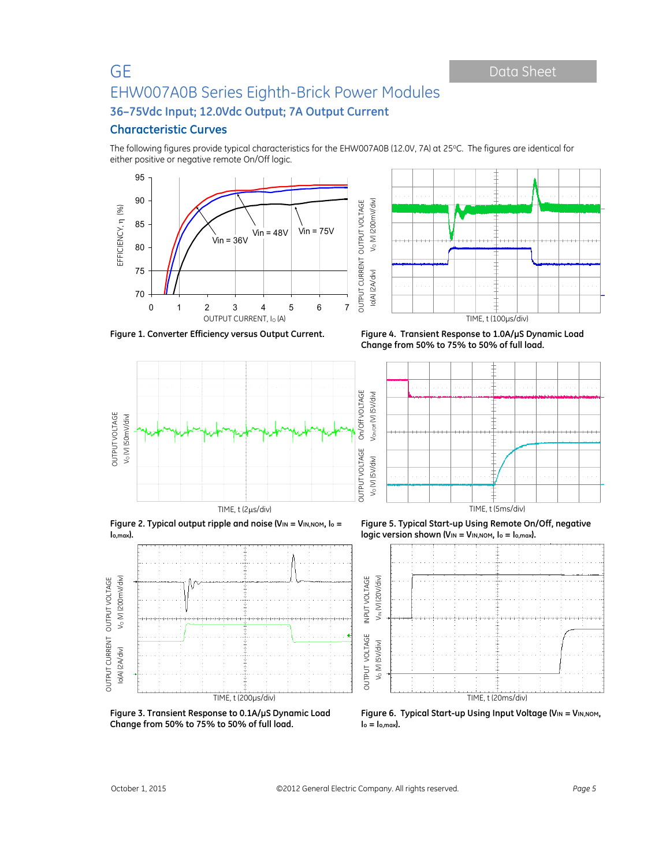### **Characteristic Curves**

The following figures provide typical characteristics for the EHW007A0B (12.0V, 7A) at 25°C. The figures are identical for either positive or negative remote On/Off logic.







 Io(A) (2A/div) VO (V) (200mV/div) **Figure 1. Converter Efficiency versus Output Current. Figure 4. Transient Response to 1.0A/µS Dynamic Load Change from 50% to 75% to 50% of full load.** 



**Figure 2. Typical output ripple and noise (VIN = VIN,NOM, Io = Io,max).** 



**Figure 3. Transient Response to 0.1A/µS Dynamic Load Change from 50% to 75% to 50% of full load.** 

**Figure 5. Typical Start-up Using Remote On/Off, negative logic version shown (VIN = VIN, NOM, lo = lo, max).** 



**Figure 6. Typical Start-up Using Input Voltage (VIN = VIN, NOM,**  $I_o = I_{o,max}$ .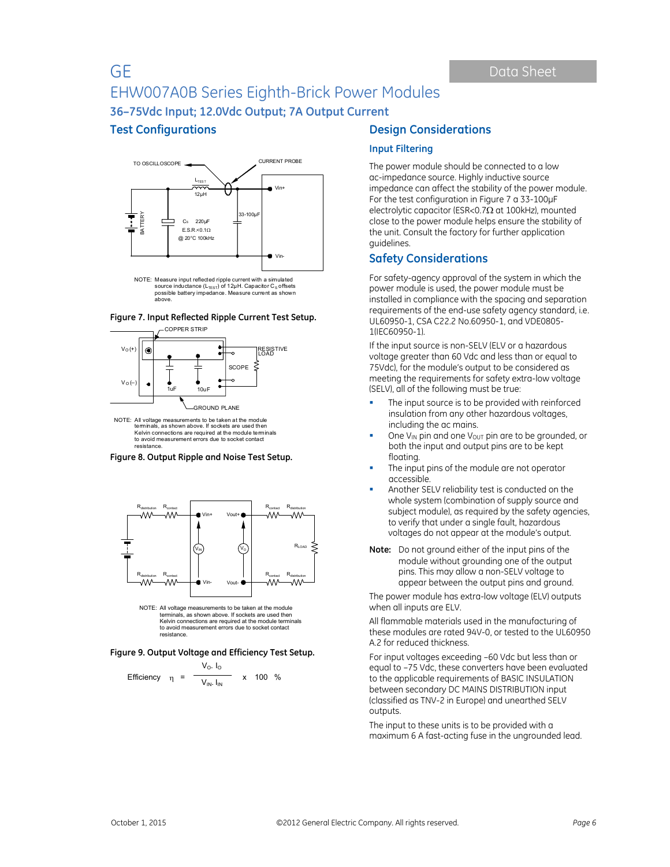**Test Configurations** 



NOTE: Measure input reflected ripple current with a simulated<br>source inductance (L<sub>TEST</sub>) of 12μH. Capacitor C<sub>s</sub> offsets<br>possible battery impedance. Measure current as shown above.





NOTE: All voltage measurements to be taken at the module terminals, as shown above. If sockets are used then Kelvin connections are required at the module terminals to avoid measurement errors due to socket contact resistance.





terminals, as shown above. If sockets are used then Kelvin connections are required at the module terminals to avoid measurement errors due to socket contact resistance.

**Figure 9. Output Voltage and Efficiency Test Setup.**

Efficiency 
$$
\eta = \frac{V_0. I_0}{V_{\text{IN}}. I_{\text{IN}}} \times 100\%
$$

### **Design Considerations**

#### **Input Filtering**

The power module should be connected to a low ac-impedance source. Highly inductive source impedance can affect the stability of the power module. For the test configuration in Figure 7 a 33-100μF electrolytic capacitor (ESR<0.7 $\Omega$  at 100kHz), mounted close to the power module helps ensure the stability of the unit. Consult the factory for further application guidelines.

### **Safety Considerations**

For safety-agency approval of the system in which the power module is used, the power module must be installed in compliance with the spacing and separation requirements of the end-use safety agency standard, i.e. UL60950-1, CSA C22.2 No.60950-1, and VDE0805- 1(IEC60950-1).

If the input source is non-SELV (ELV or a hazardous voltage greater than 60 Vdc and less than or equal to 75Vdc), for the module's output to be considered as meeting the requirements for safety extra-low voltage (SELV), all of the following must be true:

- The input source is to be provided with reinforced insulation from any other hazardous voltages, including the ac mains.
- One V<sub>IN</sub> pin and one V<sub>OUT</sub> pin are to be grounded, or both the input and output pins are to be kept floating.
- The input pins of the module are not operator accessible.
- Another SELV reliability test is conducted on the whole system (combination of supply source and subject module), as required by the safety agencies, to verify that under a single fault, hazardous voltages do not appear at the module's output.
- **Note:** Do not ground either of the input pins of the module without grounding one of the output pins. This may allow a non-SELV voltage to appear between the output pins and ground.

The power module has extra-low voltage (ELV) outputs when all inputs are ELV.

All flammable materials used in the manufacturing of these modules are rated 94V-0, or tested to the UL60950 A.2 for reduced thickness.

For input voltages exceeding –60 Vdc but less than or equal to –75 Vdc, these converters have been evaluated to the applicable requirements of BASIC INSULATION between secondary DC MAINS DISTRIBUTION input (classified as TNV-2 in Europe) and unearthed SELV outputs.

The input to these units is to be provided with a maximum 6 A fast-acting fuse in the ungrounded lead.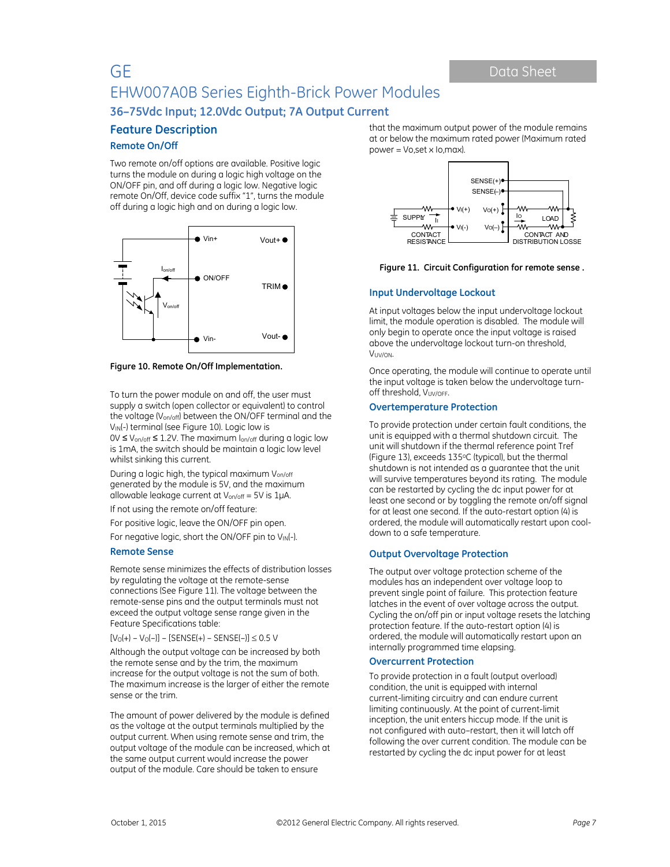# **Feature Description**

#### **Remote On/Off**

Two remote on/off options are available. Positive logic turns the module on during a logic high voltage on the ON/OFF pin, and off during a logic low. Negative logic remote On/Off, device code suffix "1", turns the module off during a logic high and on during a logic low.



**Figure 10. Remote On/Off Implementation.** 

To turn the power module on and off, the user must supply a switch (open collector or equivalent) to control the voltage (Von/off) between the ON/OFF terminal and the V<sub>IN</sub>(-) terminal (see Figure 10). Logic low is 0V ≤ Von/off ≤ 1.2V. The maximum Ion/off during a logic low is 1mA, the switch should be maintain a logic low level whilst sinking this current.

During a logic high, the typical maximum Von/off generated by the module is 5V, and the maximum allowable leakage current at  $V_{on/off} = 5V$  is 1µA.

If not using the remote on/off feature:

For positive logic, leave the ON/OFF pin open.

For negative logic, short the ON/OFF pin to VIN(-).

#### **Remote Sense**

Remote sense minimizes the effects of distribution losses by regulating the voltage at the remote-sense connections (See Figure 11). The voltage between the remote-sense pins and the output terminals must not exceed the output voltage sense range given in the Feature Specifications table:

 $[V_0(+) - V_0(-)] - [SENSE(+) - SENSE(-)] \leq 0.5$  V

Although the output voltage can be increased by both the remote sense and by the trim, the maximum increase for the output voltage is not the sum of both. The maximum increase is the larger of either the remote sense or the trim.

The amount of power delivered by the module is defined as the voltage at the output terminals multiplied by the output current. When using remote sense and trim, the output voltage of the module can be increased, which at the same output current would increase the power output of the module. Care should be taken to ensure

that the maximum output power of the module remains at or below the maximum rated power (Maximum rated power = Vo,set x Io,max).



**Figure 11. Circuit Configuration for remote sense .**

#### **Input Undervoltage Lockout**

At input voltages below the input undervoltage lockout limit, the module operation is disabled. The module will only begin to operate once the input voltage is raised above the undervoltage lockout turn-on threshold, VUV/ON.

Once operating, the module will continue to operate until the input voltage is taken below the undervoltage turnoff threshold, VUV/OFF.

#### **Overtemperature Protection**

To provide protection under certain fault conditions, the unit is equipped with a thermal shutdown circuit. The unit will shutdown if the thermal reference point Tref (Figure 13), exceeds 135°C (typical), but the thermal shutdown is not intended as a guarantee that the unit will survive temperatures beyond its rating. The module can be restarted by cycling the dc input power for at least one second or by toggling the remote on/off signal for at least one second. If the auto-restart option (4) is ordered, the module will automatically restart upon cooldown to a safe temperature.

#### **Output Overvoltage Protection**

The output over voltage protection scheme of the modules has an independent over voltage loop to prevent single point of failure. This protection feature latches in the event of over voltage across the output. Cycling the on/off pin or input voltage resets the latching protection feature. If the auto-restart option (4) is ordered, the module will automatically restart upon an internally programmed time elapsing.

#### **Overcurrent Protection**

To provide protection in a fault (output overload) condition, the unit is equipped with internal current-limiting circuitry and can endure current limiting continuously. At the point of current-limit inception, the unit enters hiccup mode. If the unit is not configured with auto–restart, then it will latch off following the over current condition. The module can be restarted by cycling the dc input power for at least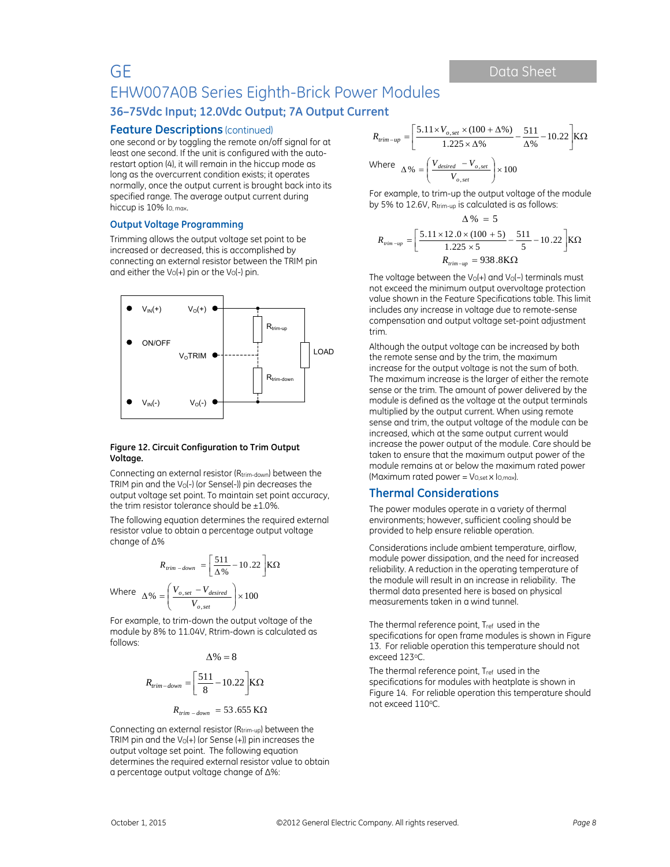#### **Feature Descriptions** (continued)

one second or by toggling the remote on/off signal for at least one second. If the unit is configured with the autorestart option (4), it will remain in the hiccup mode as long as the overcurrent condition exists; it operates normally, once the output current is brought back into its specified range. The average output current during hiccup is 10% lo.max.

#### **Output Voltage Programming**

Trimming allows the output voltage set point to be increased or decreased, this is accomplished by connecting an external resistor between the TRIM pin and either the  $V_0(+)$  pin or the  $V_0(-)$  pin.



#### **Figure 12. Circuit Configuration to Trim Output Voltage.**

Connecting an external resistor (Rtrim-down) between the TRIM pin and the  $V_0$ (-) (or Sense(-)) pin decreases the output voltage set point. To maintain set point accuracy, the trim resistor tolerance should be  $\pm 1.0$ %.

The following equation determines the required external resistor value to obtain a percentage output voltage change of ∆%

$$
R_{trim-down} = \left[\frac{511}{\Delta\%} - 10.22\right] \text{K}\Omega
$$

Where 
$$
\Delta\% = \left(\frac{V_{o,set} - V_{desired}}{V_{o,set}}\right) \times 100
$$

For example, to trim-down the output voltage of the module by 8% to 11.04V, Rtrim-down is calculated as follows:

$$
\Delta\% = 8
$$
  

$$
R_{trim-down} = \left[\frac{511}{8} - 10.22\right] \text{K}\Omega
$$
  

$$
R_{trim-down} = 53.655 \text{ K}\Omega
$$

Connecting an external resistor (Rtrim-up) between the TRIM pin and the  $V_0(+)$  (or Sense  $(+)$ ) pin increases the output voltage set point. The following equation determines the required external resistor value to obtain a percentage output voltage change of ∆%:

$$
R_{rim-up} = \left[\frac{5.11 \times V_{o,set} \times (100 + \Delta\%)}{1.225 \times \Delta\%} - \frac{511}{\Delta\%} - 10.22\right] K\Omega
$$
  
Where 
$$
\Delta\% = \left(\frac{V_{desired} - V_{o,set}}{V_{o,set}}\right) \times 100
$$

For example, to trim-up the output voltage of the module by 5% to 12.6V, Rtrim-up is calculated is as follows:  $\Lambda$  % = 5

$$
R_{\text{trim-up}} = \left[\frac{5.11 \times 12.0 \times (100 + 5)}{1.225 \times 5} - \frac{511}{5} - 10.22\right] \text{K}\Omega
$$
  

$$
R_{\text{trim-up}} = 938.8 \text{K}\Omega
$$

The voltage between the  $V_0(+)$  and  $V_0(-)$  terminals must not exceed the minimum output overvoltage protection value shown in the Feature Specifications table. This limit includes any increase in voltage due to remote-sense compensation and output voltage set-point adjustment trim.

Although the output voltage can be increased by both the remote sense and by the trim, the maximum increase for the output voltage is not the sum of both. The maximum increase is the larger of either the remote sense or the trim. The amount of power delivered by the module is defined as the voltage at the output terminals multiplied by the output current. When using remote sense and trim, the output voltage of the module can be increased, which at the same output current would increase the power output of the module. Care should be taken to ensure that the maximum output power of the module remains at or below the maximum rated power (Maximum rated power =  $V_{O,set} \times I_{O,max}$ ).

### **Thermal Considerations**

The power modules operate in a variety of thermal environments; however, sufficient cooling should be provided to help ensure reliable operation.

Considerations include ambient temperature, airflow, module power dissipation, and the need for increased reliability. A reduction in the operating temperature of the module will result in an increase in reliability. The thermal data presented here is based on physical measurements taken in a wind tunnel.

The thermal reference point, Tref used in the specifications for open frame modules is shown in Figure 13. For reliable operation this temperature should not exceed 123oC.

The thermal reference point, T<sub>ref</sub> used in the specifications for modules with heatplate is shown in Figure 14. For reliable operation this temperature should not exceed 110°C.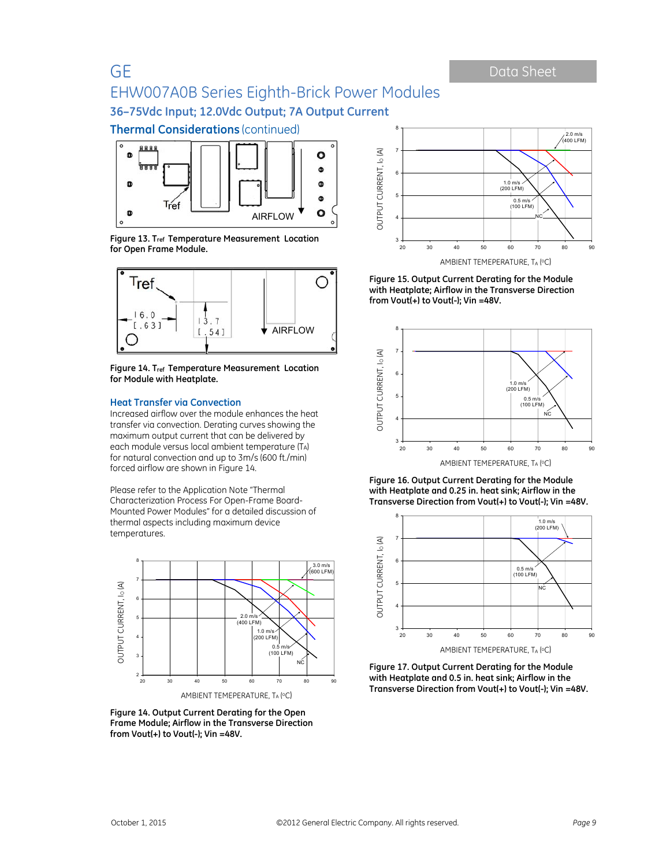**Thermal Considerations** (continued)



**Figure 13. Tref Temperature Measurement Location for Open Frame Module.**



**Figure 14. Tref Temperature Measurement Location for Module with Heatplate.** 

#### **Heat Transfer via Convection**

Increased airflow over the module enhances the heat transfer via convection. Derating curves showing the maximum output current that can be delivered by each module versus local ambient temperature (TA) for natural convection and up to 3m/s (600 ft./min) forced airflow are shown in Figure 14.

Please refer to the Application Note "Thermal Characterization Process For Open-Frame Board-Mounted Power Modules" for a detailed discussion of thermal aspects including maximum device temperatures.



**Figure 14. Output Current Derating for the Open Frame Module; Airflow in the Transverse Direction from Vout(+) to Vout(-); Vin =48V.** 



**Figure 15. Output Current Derating for the Module with Heatplate; Airflow in the Transverse Direction from Vout(+) to Vout(-); Vin =48V.** 



**Figure 16. Output Current Derating for the Module with Heatplate and 0.25 in. heat sink; Airflow in the Transverse Direction from Vout(+) to Vout(-); Vin =48V.** 



**Figure 17. Output Current Derating for the Module with Heatplate and 0.5 in. heat sink; Airflow in the Transverse Direction from Vout(+) to Vout(-); Vin =48V.**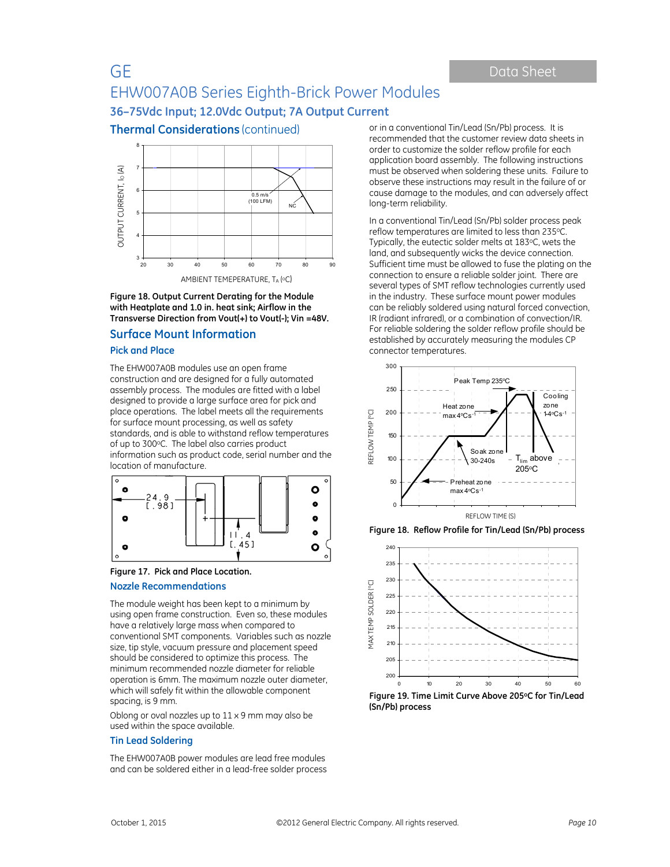**Thermal Considerations** (continued)



**Figure 18. Output Current Derating for the Module with Heatplate and 1.0 in. heat sink; Airflow in the Transverse Direction from Vout(+) to Vout(-); Vin =48V.** 

### **Surface Mount Information**

#### **Pick and Place**

The EHW007A0B modules use an open frame construction and are designed for a fully automated assembly process. The modules are fitted with a label designed to provide a large surface area for pick and place operations. The label meets all the requirements for surface mount processing, as well as safety standards, and is able to withstand reflow temperatures of up to 300°C. The label also carries product information such as product code, serial number and the location of manufacture.



#### **Figure 17. Pick and Place Location.**

#### **Nozzle Recommendations**

The module weight has been kept to a minimum by using open frame construction. Even so, these modules have a relatively large mass when compared to conventional SMT components. Variables such as nozzle size, tip style, vacuum pressure and placement speed should be considered to optimize this process. The minimum recommended nozzle diameter for reliable operation is 6mm. The maximum nozzle outer diameter, which will safely fit within the allowable component spacing, is 9 mm.

Oblong or oval nozzles up to  $11 \times 9$  mm may also be used within the space available.

#### **Tin Lead Soldering**

The EHW007A0B power modules are lead free modules and can be soldered either in a lead-free solder process or in a conventional Tin/Lead (Sn/Pb) process. It is recommended that the customer review data sheets in order to customize the solder reflow profile for each application board assembly. The following instructions must be observed when soldering these units. Failure to observe these instructions may result in the failure of or cause damage to the modules, and can adversely affect long-term reliability.

In a conventional Tin/Lead (Sn/Pb) solder process peak reflow temperatures are limited to less than 235oC. Typically, the eutectic solder melts at 183°C, wets the land, and subsequently wicks the device connection. Sufficient time must be allowed to fuse the plating on the connection to ensure a reliable solder joint. There are several types of SMT reflow technologies currently used in the industry. These surface mount power modules can be reliably soldered using natural forced convection, IR (radiant infrared), or a combination of convection/IR. For reliable soldering the solder reflow profile should be established by accurately measuring the modules CP connector temperatures.







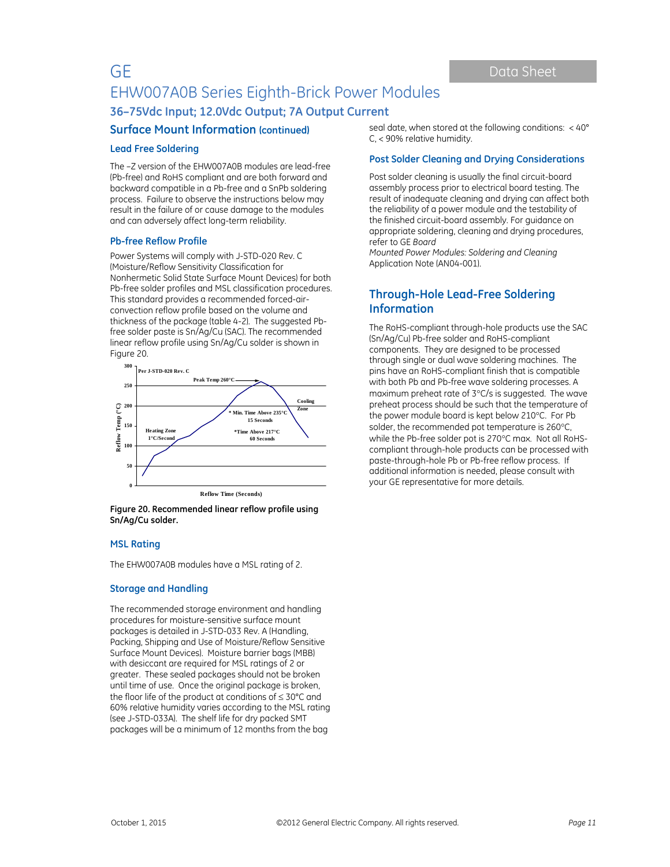### **Surface Mount Information (continued)**

#### **Lead Free Soldering**

The –Z version of the EHW007A0B modules are lead-free (Pb-free) and RoHS compliant and are both forward and backward compatible in a Pb-free and a SnPb soldering process. Failure to observe the instructions below may result in the failure of or cause damage to the modules and can adversely affect long-term reliability.

#### **Pb-free Reflow Profile**

Power Systems will comply with J-STD-020 Rev. C (Moisture/Reflow Sensitivity Classification for Nonhermetic Solid State Surface Mount Devices) for both Pb-free solder profiles and MSL classification procedures. This standard provides a recommended forced-airconvection reflow profile based on the volume and thickness of the package (table 4-2). The suggested Pbfree solder paste is Sn/Ag/Cu (SAC). The recommended linear reflow profile using Sn/Ag/Cu solder is shown in Figure 20.





#### **MSL Rating**

The EHW007A0B modules have a MSL rating of 2.

#### **Storage and Handling**

The recommended storage environment and handling procedures for moisture-sensitive surface mount packages is detailed in J-STD-033 Rev. A (Handling, Packing, Shipping and Use of Moisture/Reflow Sensitive Surface Mount Devices). Moisture barrier bags (MBB) with desiccant are required for MSL ratings of 2 or greater. These sealed packages should not be broken until time of use. Once the original package is broken, the floor life of the product at conditions of  $\leq 30^{\circ}$ C and 60% relative humidity varies according to the MSL rating (see J-STD-033A). The shelf life for dry packed SMT packages will be a minimum of 12 months from the bag

seal date, when stored at the following conditions: < 40° C, < 90% relative humidity.

#### **Post Solder Cleaning and Drying Considerations**

Post solder cleaning is usually the final circuit-board assembly process prior to electrical board testing. The result of inadequate cleaning and drying can affect both the reliability of a power module and the testability of the finished circuit-board assembly. For guidance on appropriate soldering, cleaning and drying procedures, refer to GE *Board* 

*Mounted Power Modules: Soldering and Cleaning* Application Note (AN04-001).

### **Through-Hole Lead-Free Soldering Information**

The RoHS-compliant through-hole products use the SAC (Sn/Ag/Cu) Pb-free solder and RoHS-compliant components. They are designed to be processed through single or dual wave soldering machines. The pins have an RoHS-compliant finish that is compatible with both Pb and Pb-free wave soldering processes. A maximum preheat rate of  $3^{\circ}$ C/s is suggested. The wave preheat process should be such that the temperature of the power module board is kept below 210°C. For Pb solder, the recommended pot temperature is 260°C, while the Pb-free solder pot is 270°C max. Not all RoHScompliant through-hole products can be processed with paste-through-hole Pb or Pb-free reflow process. If additional information is needed, please consult with your GE representative for more details.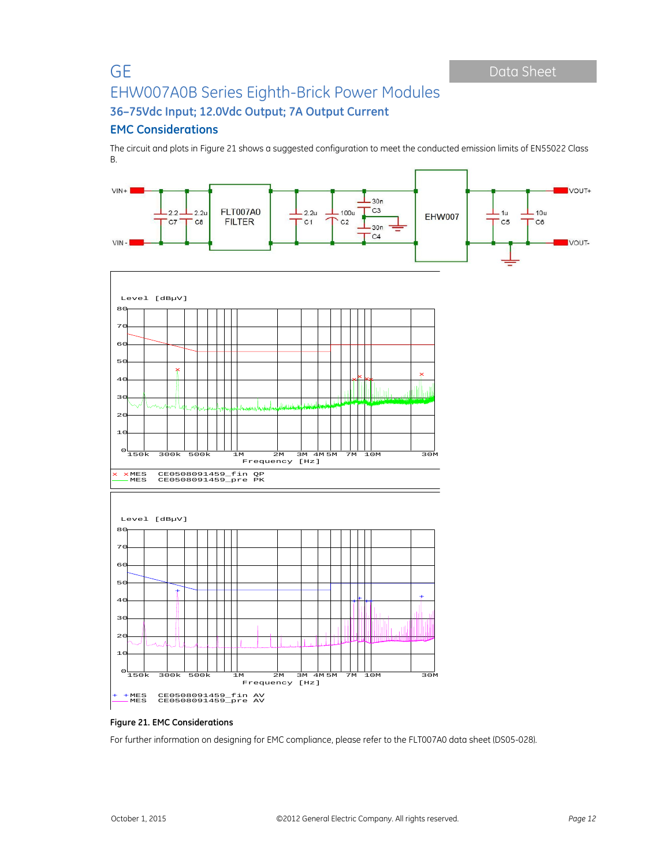### **EMC Considerations**

The circuit and plots in Figure 21 shows a suggested configuration to meet the conducted emission limits of EN55022 Class B.



### **Figure 21. EMC Considerations**

For further information on designing for EMC compliance, please refer to the FLT007A0 data sheet (DS05-028).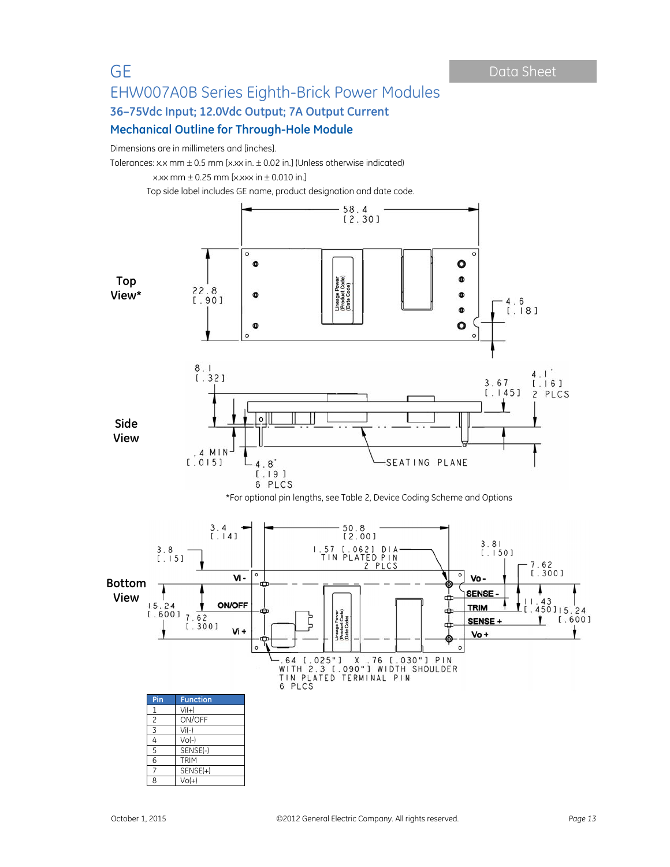# GE Data Sheet

# EHW007A0B Series Eighth-Brick Power Modules **36–75Vdc Input; 12.0Vdc Output; 7A Output Current Mechanical Outline for Through-Hole Module**

Dimensions are in millimeters and [inches].

Tolerances: x.x mm  $\pm$  0.5 mm [x.xx in.  $\pm$  0.02 in.] (Unless otherwise indicated)

x.xx mm  $\pm$  0.25 mm [x.xxx in  $\pm$  0.010 in.]

Top side label includes GE name, product designation and date code.

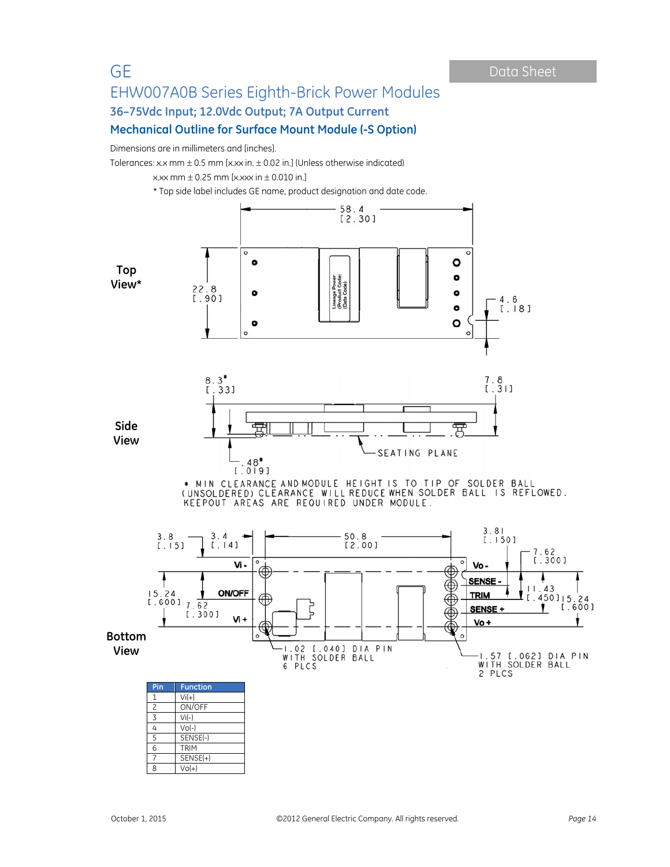# GE Data Sheet

# EHW007A0B Series Eighth-Brick Power Modules **36–75Vdc Input; 12.0Vdc Output; 7A Output Current**

## **Mechanical Outline for Surface Mount Module (-S Option)**

Dimensions are in millimeters and [inches].

Tolerances: x.x mm  $\pm$  0.5 mm [x.xx in.  $\pm$  0.02 in.] (Unless otherwise indicated)





x.xx mm  $\pm$  0.25 mm [x.xxx in  $\pm$  0.010 in.]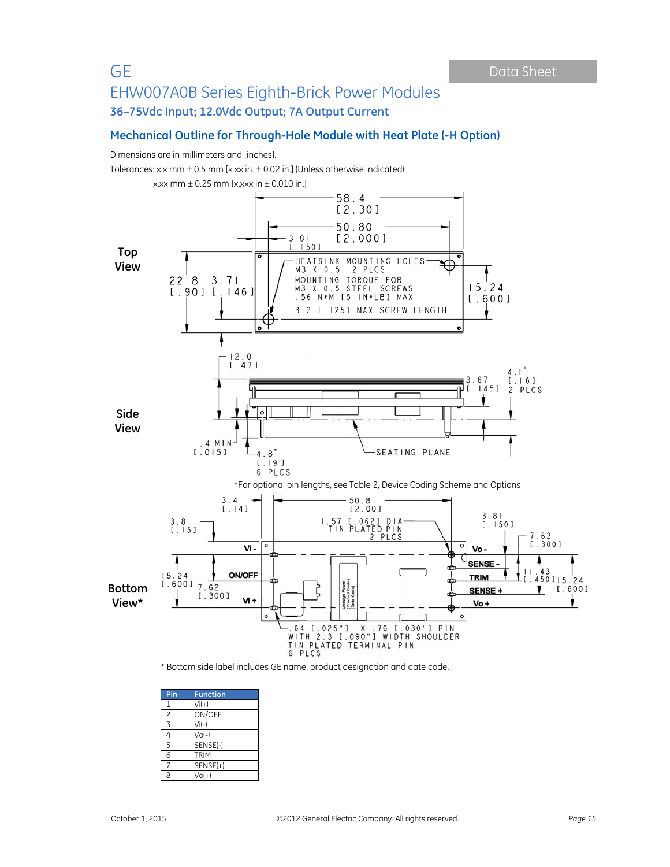### **Mechanical Outline for Through-Hole Module with Heat Plate (-H Option)**

Dimensions are in millimeters and [inches].

Tolerances: x.x mm  $\pm$  0.5 mm [x.xx in.  $\pm$  0.02 in.] (Unless otherwise indicated)





| Pin            | <b>Function</b> |  |  |
|----------------|-----------------|--|--|
| 1              | $Vi(+)$         |  |  |
| $\overline{c}$ | ON/OFF          |  |  |
| 3              | $Vi(-)$         |  |  |
| 4              | $Vol-$          |  |  |
| 5              | SENSE(-)        |  |  |
| 6              | <b>TRIM</b>     |  |  |
|                | $SENSE(+)$      |  |  |
| 8              | $Vol+1$         |  |  |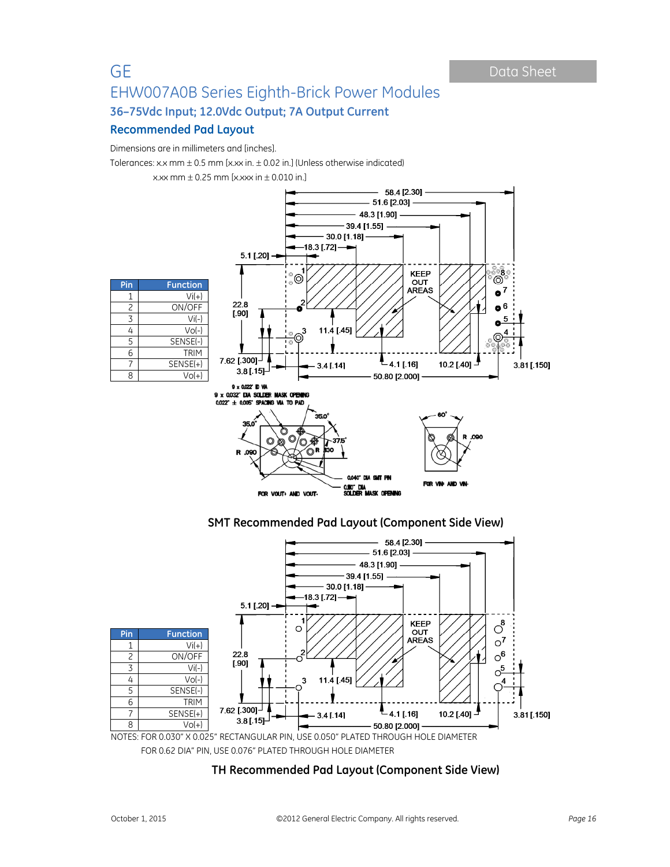### **Recommended Pad Layout**

Dimensions are in millimeters and [inches].

Tolerances: x.x mm  $\pm$  0.5 mm [x.xx in.  $\pm$  0.02 in.] (Unless otherwise indicated)

x.xx mm  $\pm$  0.25 mm [x.xxx in  $\pm$  0.010 in.]



0,040° DIA SMT PIN FOR VIN AND V 0.110° DIA<br>Solider Mask opening FOR VOUT+ AND VOUT-

**SMT Recommended Pad Layout (Component Side View)** 



FOR 0.62 DIA" PIN, USE 0.076" PLATED THROUGH HOLE DIAMETER

# **TH Recommended Pad Layout (Component Side View)**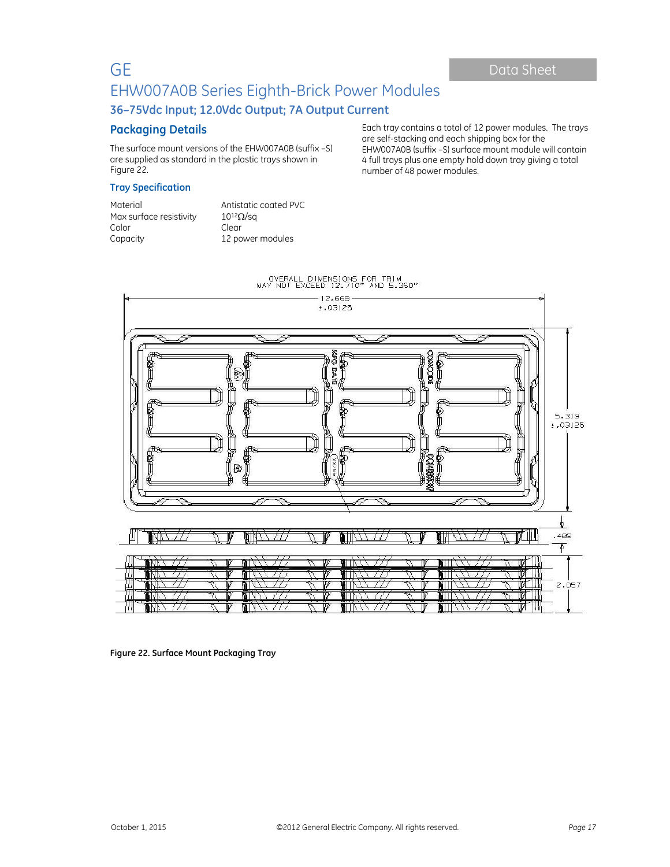Each tray contains a total of 12 power modules. The trays

EHW007A0B (suffix –S) surface mount module will contain 4 full trays plus one empty hold down tray giving a total

are self-stacking and each shipping box for the

number of 48 power modules.

# GE Data Sheet EHW007A0B Series Eighth-Brick Power Modules **36–75Vdc Input; 12.0Vdc Output; 7A Output Current**

### **Packaging Details**

The surface mount versions of the EHW007A0B (suffix –S) are supplied as standard in the plastic trays shown in Figure 22.

**Tray Specification** 

| Material                | Antistatic coated PVC  |
|-------------------------|------------------------|
| Max surface resistivity | $10^{12}$ $\Omega$ /sq |
| Color                   | Clear                  |
| Capacity                | 12 power modules       |



**Figure 22. Surface Mount Packaging Tray**